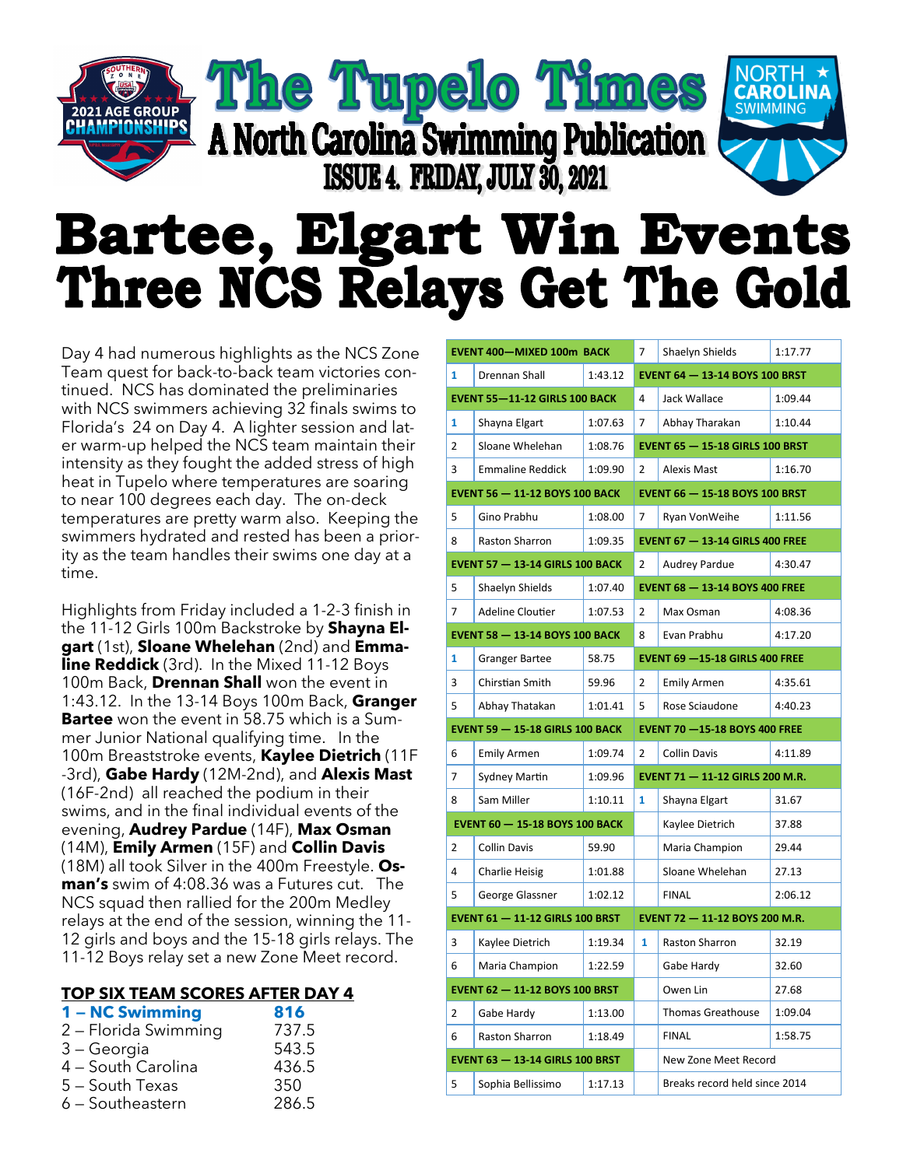## The Tupelo Times **SWIMMING GROUP** A North Carolina Swimming Publication ISSUE 4. FRIDAY, JULY 30, 2021

## **Bartee, Elgart Win Events** Three NCS Relays Get The Gold

Day 4 had numerous highlights as the NCS Zone Team quest for back-to-back team victories continued. NCS has dominated the preliminaries with NCS swimmers achieving 32 finals swims to Florida's 24 on Day 4. A lighter session and later warm-up helped the NCS team maintain their intensity as they fought the added stress of high heat in Tupelo where temperatures are soaring to near 100 degrees each day. The on-deck temperatures are pretty warm also. Keeping the swimmers hydrated and rested has been a priority as the team handles their swims one day at a time.

Highlights from Friday included a 1-2-3 finish in the 11-12 Girls 100m Backstroke by **Shayna Elgart** (1st), **Sloane Whelehan** (2nd) and **Emmaline Reddick** (3rd). In the Mixed 11-12 Boys 100m Back, **Drennan Shall** won the event in 1:43.12. In the 13-14 Boys 100m Back, **Granger Bartee** won the event in 58.75 which is a Summer Junior National qualifying time. In the 100m Breaststroke events, **Kaylee Dietrich** (11F -3rd), **Gabe Hardy** (12M-2nd), and **Alexis Mast**  (16F-2nd) all reached the podium in their swims, and in the final individual events of the evening, **Audrey Pardue** (14F), **Max Osman**  (14M), **Emily Armen** (15F) and **Collin Davis** (18M) all took Silver in the 400m Freestyle. **Osman's** swim of 4:08.36 was a Futures cut. The NCS squad then rallied for the 200m Medley relays at the end of the session, winning the 11- 12 girls and boys and the 15-18 girls relays. The 11-12 Boys relay set a new Zone Meet record.

## **TOP SIX TEAM SCORES AFTER DAY 4**

| 1 - NC Swimming      | 816   |
|----------------------|-------|
| 2 - Florida Swimming | 737.5 |
| 3 – Georgia          | 543.5 |
| 4 - South Carolina   | 436.5 |
| 5 - South Texas      | 350   |
| 6 - Southeastern     | 286.5 |

|                                       | <b>EVENT 400-MIXED 100m BACK</b>       |         | $\overline{7}$                        | Shaelyn Shields                        | 1:17.77 |  |
|---------------------------------------|----------------------------------------|---------|---------------------------------------|----------------------------------------|---------|--|
| $\mathbf{1}$                          | <b>Drennan Shall</b>                   | 1:43.12 | <b>EVENT 64 - 13-14 BOYS 100 BRST</b> |                                        |         |  |
|                                       | <b>EVENT 55-11-12 GIRLS 100 BACK</b>   |         | 4                                     | Jack Wallace                           | 1:09.44 |  |
| 1                                     | Shayna Elgart                          | 1:07.63 | $\overline{7}$                        | Abhay Tharakan                         | 1:10.44 |  |
| $\overline{2}$                        | Sloane Whelehan                        | 1:08.76 |                                       | <b>EVENT 65 - 15-18 GIRLS 100 BRST</b> |         |  |
| 3                                     | <b>Emmaline Reddick</b>                | 1:09.90 | $\mathcal{P}$                         | <b>Alexis Mast</b>                     | 1:16.70 |  |
| <b>EVENT 56 - 11-12 BOYS 100 BACK</b> |                                        |         | <b>EVENT 66 - 15-18 BOYS 100 BRST</b> |                                        |         |  |
| 5                                     | Gino Prabhu                            | 1:08.00 | $\overline{7}$                        | Ryan VonWeihe                          | 1:11.56 |  |
| 8                                     | Raston Sharron                         | 1:09.35 |                                       | <b>EVENT 67 - 13-14 GIRLS 400 FREE</b> |         |  |
|                                       | <b>EVENT 57 - 13-14 GIRLS 100 BACK</b> |         | $\overline{2}$                        | <b>Audrey Pardue</b>                   | 4:30.47 |  |
| 5                                     | Shaelyn Shields                        | 1:07.40 |                                       | <b>EVENT 68 - 13-14 BOYS 400 FREE</b>  |         |  |
| 7                                     | <b>Adeline Cloutier</b>                | 1:07.53 | 2                                     | Max Osman                              | 4:08.36 |  |
|                                       | <b>EVENT 58 - 13-14 BOYS 100 BACK</b>  |         | 8                                     | Evan Prabhu                            | 4:17.20 |  |
| 1                                     | <b>Granger Bartee</b>                  | 58.75   | <b>EVENT 69 -15-18 GIRLS 400 FREE</b> |                                        |         |  |
| 3                                     | Chirstian Smith                        | 59.96   | $\overline{2}$                        | <b>Emily Armen</b>                     | 4:35.61 |  |
| 5                                     | Abhay Thatakan                         | 1:01.41 | 5                                     | Rose Sciaudone                         | 4:40.23 |  |
|                                       |                                        |         |                                       |                                        |         |  |
|                                       | <b>EVENT 59 - 15-18 GIRLS 100 BACK</b> |         |                                       | <b>EVENT 70 -15-18 BOYS 400 FREE</b>   |         |  |
| 6                                     | <b>Emily Armen</b>                     | 1:09.74 | $\overline{2}$                        | <b>Collin Davis</b>                    | 4:11.89 |  |
| $\overline{7}$                        | <b>Sydney Martin</b>                   | 1:09.96 |                                       | <b>EVENT 71 - 11-12 GIRLS 200 M.R.</b> |         |  |
| 8                                     | Sam Miller                             | 1:10.11 | $\mathbf{1}$                          | Shayna Elgart                          | 31.67   |  |
|                                       | <b>EVENT 60 - 15-18 BOYS 100 BACK</b>  |         |                                       | Kaylee Dietrich                        | 37.88   |  |
| $\overline{2}$                        | <b>Collin Davis</b>                    | 59.90   |                                       | Maria Champion                         | 29.44   |  |
| 4                                     | <b>Charlie Heisig</b>                  | 1:01.88 |                                       | Sloane Whelehan                        | 27.13   |  |
| 5                                     | George Glassner                        | 1:02.12 |                                       | <b>FINAL</b>                           | 2:06.12 |  |
|                                       | <b>EVENT 61 - 11-12 GIRLS 100 BRST</b> |         |                                       | EVENT 72 - 11-12 BOYS 200 M.R.         |         |  |
| 3                                     | Kaylee Dietrich                        | 1:19.34 | $\mathbf{1}$                          | Raston Sharron                         | 32.19   |  |
| 6                                     | Maria Champion                         | 1:22.59 |                                       | Gabe Hardy                             | 32.60   |  |
|                                       | <b>EVENT 62 - 11-12 BOYS 100 BRST</b>  |         |                                       | Owen Lin                               | 27.68   |  |
| $\overline{2}$                        | Gabe Hardy                             | 1:13.00 |                                       | <b>Thomas Greathouse</b>               | 1:09.04 |  |
| 6                                     | Raston Sharron                         | 1:18.49 |                                       | <b>FINAL</b>                           | 1:58.75 |  |
|                                       | <b>EVENT 63 - 13-14 GIRLS 100 BRST</b> |         |                                       | New Zone Meet Record                   |         |  |